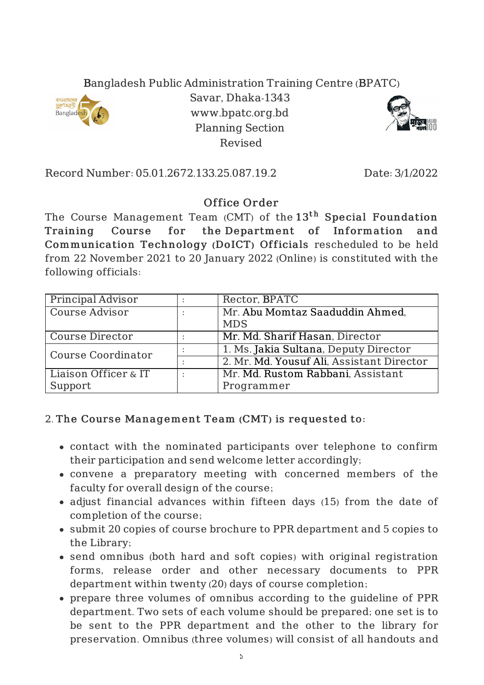## Bangladesh Public Administration Training Centre (BPATC)



Savar, Dhaka-1343 www.bpatc.org.bd Planning Section Revised



Record Number: 05.01.2672.133.25.087.19.2 Date: 3/1/2022

## Office Order

The Course Management Team (CMT) of the  $13^{\rm th}$  Special Foundation Training Course for the Department of Information and Communication Technology (DoICT) Officials rescheduled to be held from 22 November 2021 to 20 January 2022 (Online) is constituted with the following officials:

| Principal Advisor         | Rector, BPATC                             |
|---------------------------|-------------------------------------------|
| <b>Course Advisor</b>     | Mr. Abu Momtaz Saaduddin Ahmed,           |
|                           | <b>MDS</b>                                |
| <b>Course Director</b>    | Mr. Md. Sharif Hasan, Director            |
| <b>Course Coordinator</b> | 1. Ms. Jakia Sultana, Deputy Director     |
|                           | 2. Mr. Md. Yousuf Ali, Assistant Director |
| Liaison Officer & IT      | Mr. Md. Rustom Rabbani, Assistant         |
| Support                   | Programmer                                |

## 2. The Course Management Team (CMT) is requested to:

- contact with the nominated participants over telephone to confirm their participation and send welcome letter accordingly;
- convene a preparatory meeting with concerned members of the faculty for overall design of the course;
- adjust financial advances within fifteen days (15) from the date of completion of the course;
- submit 20 copies of course brochure to PPR department and 5 copies to the Library;
- send omnibus (both hard and soft copies) with original registration forms, release order and other necessary documents to PPR department within twenty (20) days of course completion;
- prepare three volumes of omnibus according to the guideline of PPR department. Two sets of each volume should be prepared; one set is to be sent to the PPR department and the other to the library for preservation. Omnibus (three volumes) will consist of all handouts and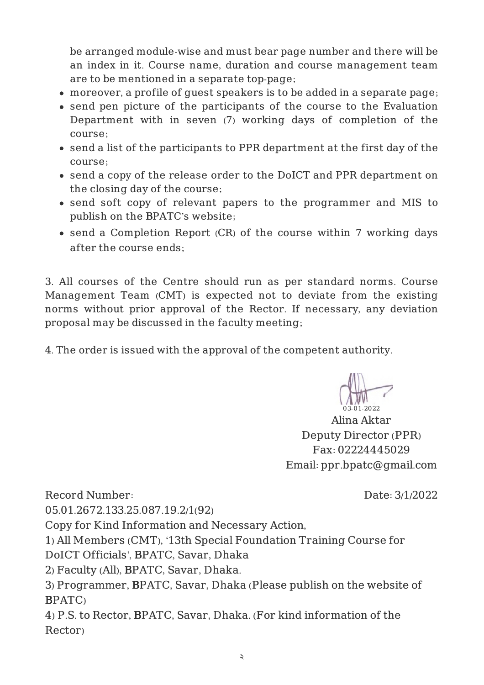be arranged module-wise and must bear page number and there will be an index in it. Course name, duration and course management team are to be mentioned in a separate top-page;

- moreover, a profile of guest speakers is to be added in a separate page;
- send pen picture of the participants of the course to the Evaluation Department with in seven (7) working days of completion of the course;
- send a list of the participants to PPR department at the first day of the course;
- send a copy of the release order to the DoICT and PPR department on the closing day of the course;
- send soft copy of relevant papers to the programmer and MIS to publish on the BPATC's website;
- send a Completion Report (CR) of the course within 7 working days after the course ends;

3. All courses of the Centre should run as per standard norms. Course Management Team (CMT) is expected not to deviate from the existing norms without prior approval of the Rector. If necessary, any deviation proposal may be discussed in the faculty meeting;

4. The order is issued with the approval of the competent authority.

03-01-2022

Alina Aktar Deputy Director (PPR) Fax: 02224445029 Email: ppr.bpatc@gmail.com

Record Number:

Date: 3/1/2022

05.01.2672.133.25.087.19.2/1(92)

Copy for Kind Information and Necessary Action,

1) All Members (CMT), '13th Special Foundation Training Course for

DoICT Officials', BPATC, Savar, Dhaka

2) Faculty (All), BPATC, Savar, Dhaka.

3) Programmer, BPATC, Savar, Dhaka (Please publish on the website of BPATC)

4) P.S. to Rector, BPATC, Savar, Dhaka. (For kind information of the Rector)